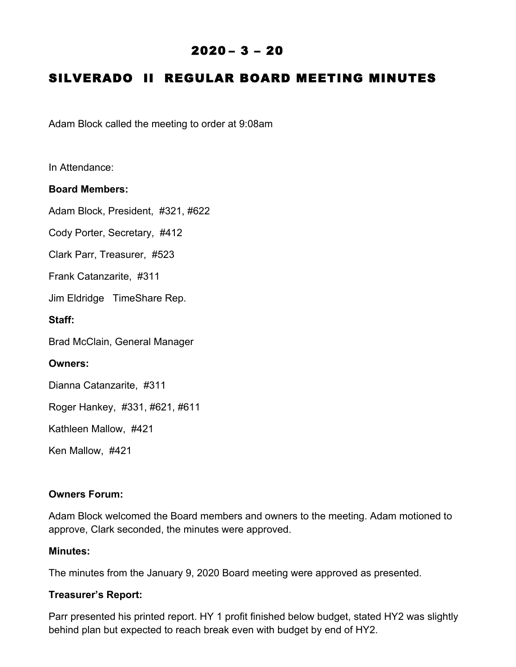## $2020 - 3 - 20$

# SILVERADO II REGULAR BOARD MEETING MINUTES

Adam Block called the meeting to order at 9:08am

In Attendance:

#### **Board Members:**

Adam Block, President, #321, #622

Cody Porter, Secretary, #412

Clark Parr, Treasurer, #523

Frank Catanzarite, #311

Jim Eldridge TimeShare Rep.

**Staff:**

Brad McClain, General Manager

#### **Owners:**

Dianna Catanzarite, #311

Roger Hankey, #331, #621, #611

Kathleen Mallow, #421

Ken Mallow, #421

#### **Owners Forum:**

Adam Block welcomed the Board members and owners to the meeting. Adam motioned to approve, Clark seconded, the minutes were approved.

## **Minutes:**

The minutes from the January 9, 2020 Board meeting were approved as presented.

#### **Treasurer's Report:**

Parr presented his printed report. HY 1 profit finished below budget, stated HY2 was slightly behind plan but expected to reach break even with budget by end of HY2.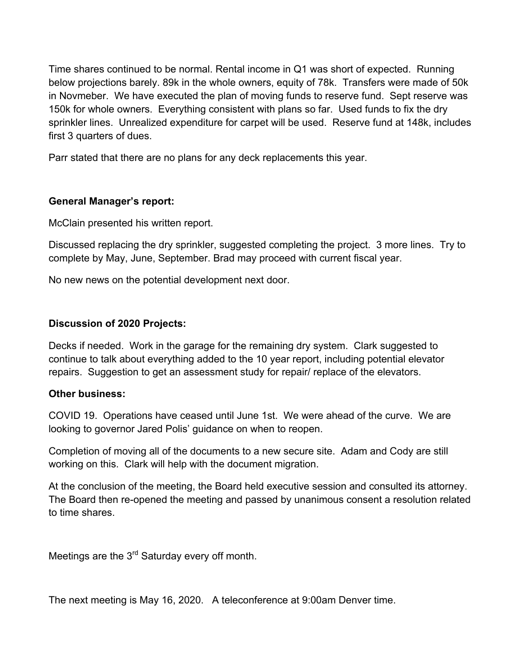Time shares continued to be normal. Rental income in Q1 was short of expected. Running below projections barely. 89k in the whole owners, equity of 78k. Transfers were made of 50k in Novmeber. We have executed the plan of moving funds to reserve fund. Sept reserve was 150k for whole owners. Everything consistent with plans so far. Used funds to fix the dry sprinkler lines. Unrealized expenditure for carpet will be used. Reserve fund at 148k, includes first 3 quarters of dues.

Parr stated that there are no plans for any deck replacements this year.

## **General Manager's report:**

McClain presented his written report.

Discussed replacing the dry sprinkler, suggested completing the project. 3 more lines. Try to complete by May, June, September. Brad may proceed with current fiscal year.

No new news on the potential development next door.

## **Discussion of 2020 Projects:**

Decks if needed. Work in the garage for the remaining dry system. Clark suggested to continue to talk about everything added to the 10 year report, including potential elevator repairs. Suggestion to get an assessment study for repair/ replace of the elevators.

## **Other business:**

COVID 19. Operations have ceased until June 1st. We were ahead of the curve. We are looking to governor Jared Polis' guidance on when to reopen.

Completion of moving all of the documents to a new secure site. Adam and Cody are still working on this. Clark will help with the document migration.

At the conclusion of the meeting, the Board held executive session and consulted its attorney. The Board then re-opened the meeting and passed by unanimous consent a resolution related to time shares.

Meetings are the 3<sup>rd</sup> Saturday every off month.

The next meeting is May 16, 2020. A teleconference at 9:00am Denver time.